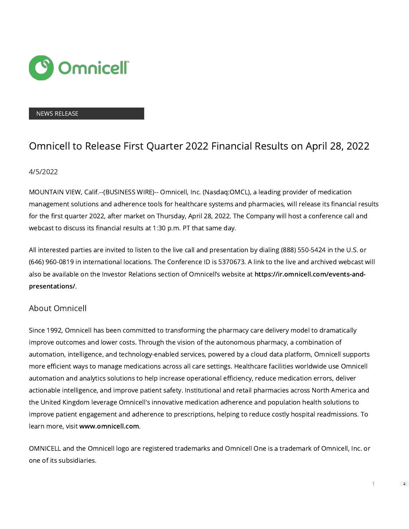

### NEWS RELEASE

# Omnicell to Release First Quarter 2022 Financial Results on April 28, 2022

## 4/5/2022

MOUNTAIN VIEW, Calif.--(BUSINESS WIRE)-- Omnicell, Inc. (Nasdaq:OMCL), a leading provider of medication management solutions and adherence tools for healthcare systems and pharmacies, will release its financial results for the first quarter 2022, after market on Thursday, April 28, 2022. The Company will host a conference call and webcast to discuss its financial results at 1:30 p.m. PT that same day.

All interested parties are invited to listen to the live call and presentation by dialing (888) 550-5424 in the U.S. or (646) 960-0819 in international locations. The Conference ID is 5370673. A link to the live and archived webcast will also be available on the Investor Relations section of Omnicell's website at [https://ir.omnicell.com/events-and](https://cts.businesswire.com/ct/CT?id=smartlink&url=https%3A%2F%2Fir.omnicell.com%2Fevents-and-presentations%2F&esheet=52654447&newsitemid=20220405006102&lan=en-US&anchor=https%3A%2F%2Fir.omnicell.com%2Fevents-and-presentations%2F&index=1&md5=e7a4d30426faf003508e37e840216a31)[presentations/](https://cts.businesswire.com/ct/CT?id=smartlink&url=https%3A%2F%2Fir.omnicell.com%2Fevents-and-presentations%2F&esheet=52654447&newsitemid=20220405006102&lan=en-US&anchor=https%3A%2F%2Fir.omnicell.com%2Fevents-and-presentations%2F&index=1&md5=e7a4d30426faf003508e37e840216a31).

# About Omnicell

Since 1992, Omnicell has been committed to transforming the pharmacy care delivery model to dramatically improve outcomes and lower costs. Through the vision of the autonomous pharmacy, a combination of automation, intelligence, and technology-enabled services, powered by a cloud data platform, Omnicell supports more efficient ways to manage medications across all care settings. Healthcare facilities worldwide use Omnicell automation and analytics solutions to help increase operational efficiency, reduce medication errors, deliver actionable intelligence, and improve patient safety. Institutional and retail pharmacies across North America and the United Kingdom leverage Omnicell's innovative medication adherence and population health solutions to improve patient engagement and adherence to prescriptions, helping to reduce costly hospital readmissions. To learn more, visit [www.omnicell.com](https://cts.businesswire.com/ct/CT?id=smartlink&url=http%3A%2F%2Fwww.omnicell.com&esheet=52654447&newsitemid=20220405006102&lan=en-US&anchor=www.omnicell.com&index=2&md5=8d71f428954d549f1ab83d2ed7a019ce).

OMNICELL and the Omnicell logo are registered trademarks and Omnicell One is a trademark of Omnicell, Inc. or one of its subsidiaries.

1

 $\Rightarrow$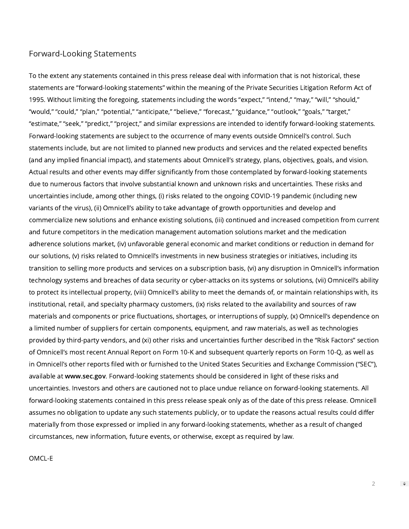## Forward-Looking Statements

To the extent any statements contained in this press release deal with information that is not historical, these statements are "forward-looking statements" within the meaning of the Private Securities Litigation Reform Act of 1995. Without limiting the foregoing, statements including the words "expect," "intend," "may," "will," "should," "would," "could," "plan," "potential," "anticipate," "believe," "forecast," "guidance," "outlook," "goals," "target," "estimate," "seek," "predict," "project," and similar expressions are intended to identify forward-looking statements. Forward-looking statements are subject to the occurrence of many events outside Omnicell's control. Such statements include, but are not limited to planned new products and services and the related expected benefits (and any implied financial impact), and statements about Omnicell's strategy, plans, objectives, goals, and vision. Actual results and other events may differ significantly from those contemplated by forward-looking statements due to numerous factors that involve substantial known and unknown risks and uncertainties. These risks and uncertainties include, among other things, (i) risks related to the ongoing COVID-19 pandemic (including new variants of the virus), (ii) Omnicell's ability to take advantage of growth opportunities and develop and commercialize new solutions and enhance existing solutions, (iii) continued and increased competition from current and future competitors in the medication management automation solutions market and the medication adherence solutions market, (iv) unfavorable general economic and market conditions or reduction in demand for our solutions, (v) risks related to Omnicell's investments in new business strategies or initiatives, including its transition to selling more products and services on a subscription basis, (vi) any disruption in Omnicell's information technology systems and breaches of data security or cyber-attacks on its systems or solutions, (vii) Omnicell's ability to protect its intellectual property, (viii) Omnicell's ability to meet the demands of, or maintain relationships with, its institutional, retail, and specialty pharmacy customers, (ix) risks related to the availability and sources of raw materials and components or price fluctuations, shortages, or interruptions of supply, (x) Omnicell's dependence on a limited number of suppliers for certain components, equipment, and raw materials, as well as technologies provided by third-party vendors, and (xi) other risks and uncertainties further described in the "Risk Factors" section of Omnicell's most recent Annual Report on Form 10-K and subsequent quarterly reports on Form 10-Q, as well as in Omnicell's other reports filed with or furnished to the United States Securities and Exchange Commission ("SEC"), available at [www.sec.gov](https://cts.businesswire.com/ct/CT?id=smartlink&url=http%3A%2F%2Fwww.sec.gov&esheet=52654447&newsitemid=20220405006102&lan=en-US&anchor=www.sec.gov&index=3&md5=6118c3dd8654006ef00e4e1a2b888f5d). Forward-looking statements should be considered in light of these risks and uncertainties. Investors and others are cautioned not to place undue reliance on forward-looking statements. All forward-looking statements contained in this press release speak only as of the date of this press release. Omnicell assumes no obligation to update any such statements publicly, or to update the reasons actual results could differ materially from those expressed or implied in any forward-looking statements, whether as a result of changed circumstances, new information, future events, or otherwise, except as required by law.

### OMCL-E

 $\Rightarrow$